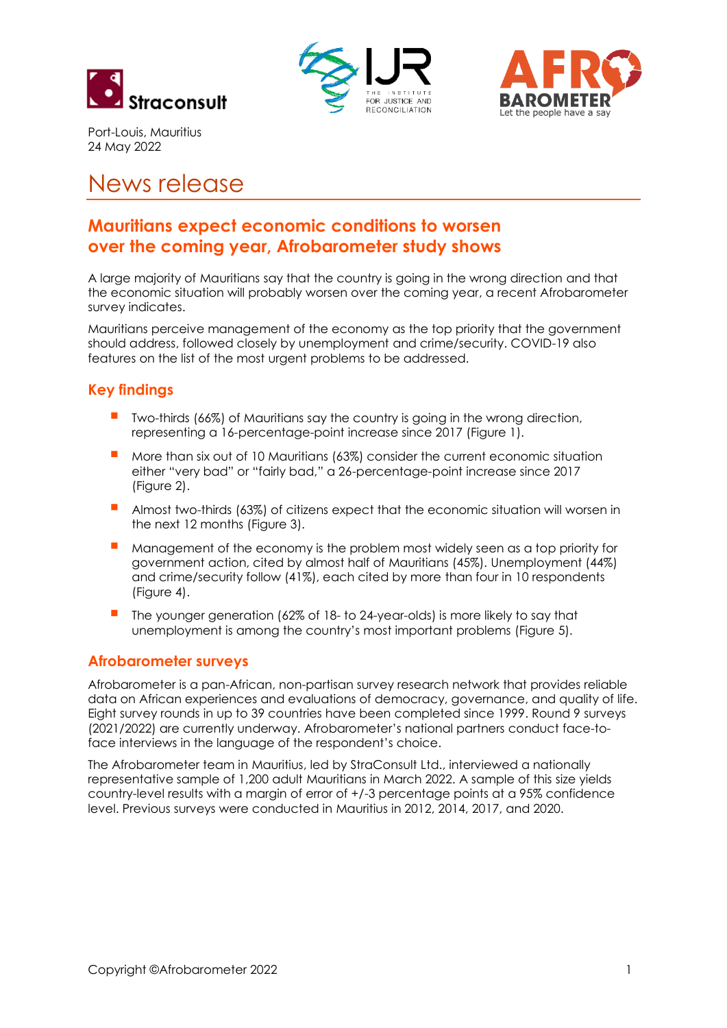





Port-Louis, Mauritius 24 May 2022

# News release

# **Mauritians expect economic conditions to worsen over the coming year, Afrobarometer study shows**

A large majority of Mauritians say that the country is going in the wrong direction and that the economic situation will probably worsen over the coming year, a recent Afrobarometer survey indicates.

Mauritians perceive management of the economy as the top priority that the government should address, followed closely by unemployment and crime/security. COVID-19 also features on the list of the most urgent problems to be addressed.

# **Key findings**

- Two-thirds (66%) of Mauritians say the country is going in the wrong direction, representing a 16-percentage-point increase since 2017 (Figure 1).
- More than six out of 10 Mauritians (63%) consider the current economic situation either "very bad" or "fairly bad," a 26-percentage-point increase since 2017 (Figure 2).
- Almost two-thirds (63%) of citizens expect that the economic situation will worsen in the next 12 months (Figure 3).
- Management of the economy is the problem most widely seen as a top priority for government action, cited by almost half of Mauritians (45%). Unemployment (44%) and crime/security follow (41%), each cited by more than four in 10 respondents (Figure 4).
- The younger generation (62% of 18- to 24-year-olds) is more likely to say that unemployment is among the country's most important problems (Figure 5).

#### **Afrobarometer surveys**

Afrobarometer is a pan-African, non-partisan survey research network that provides reliable data on African experiences and evaluations of democracy, governance, and quality of life. Eight survey rounds in up to 39 countries have been completed since 1999. Round 9 surveys (2021/2022) are currently underway. Afrobarometer's national partners conduct face-toface interviews in the language of the respondent's choice.

The Afrobarometer team in Mauritius, led by StraConsult Ltd., interviewed a nationally representative sample of 1,200 adult Mauritians in March 2022. A sample of this size yields country-level results with a margin of error of +/-3 percentage points at a 95% confidence level. Previous surveys were conducted in Mauritius in 2012, 2014, 2017, and 2020.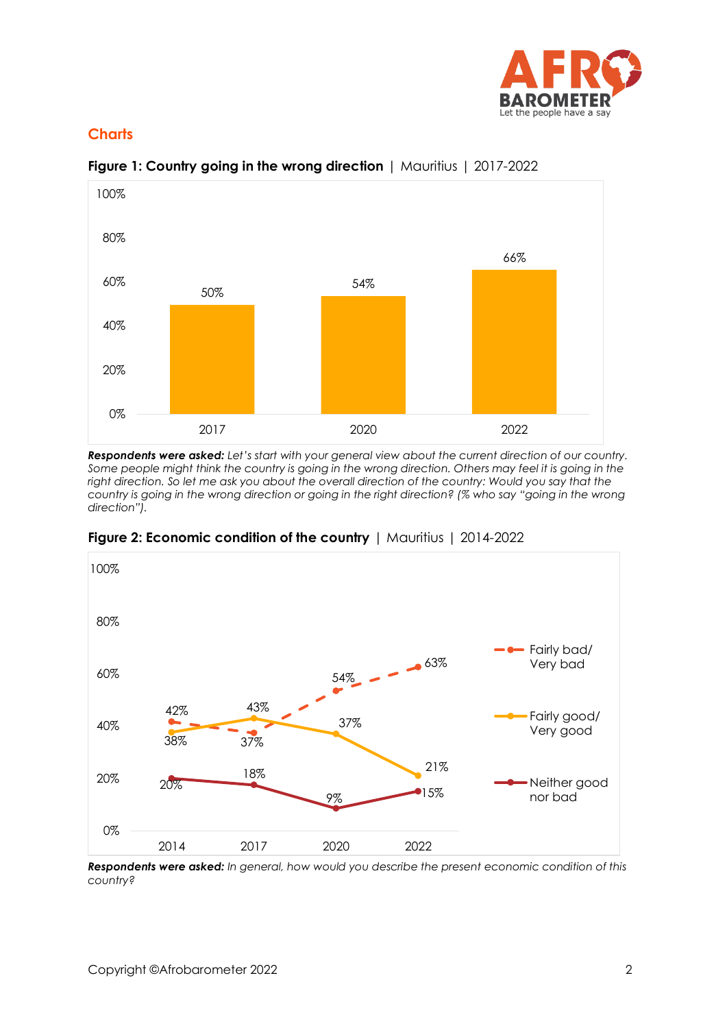

### **Charts**



#### **Figure 1: Country going in the wrong direction** | Mauritius | 2017-2022

*Respondents were asked: Let's start with your general view about the current direction of our country. Some people might think the country is going in the wrong direction. Others may feel it is going in the right direction. So let me ask you about the overall direction of the country: Would you say that the country is going in the wrong direction or going in the right direction? (% who say "going in the wrong direction").*



**Figure 2: Economic condition of the country** | Mauritius | 2014-2022

*Respondents were asked: In general, how would you describe the present economic condition of this country?*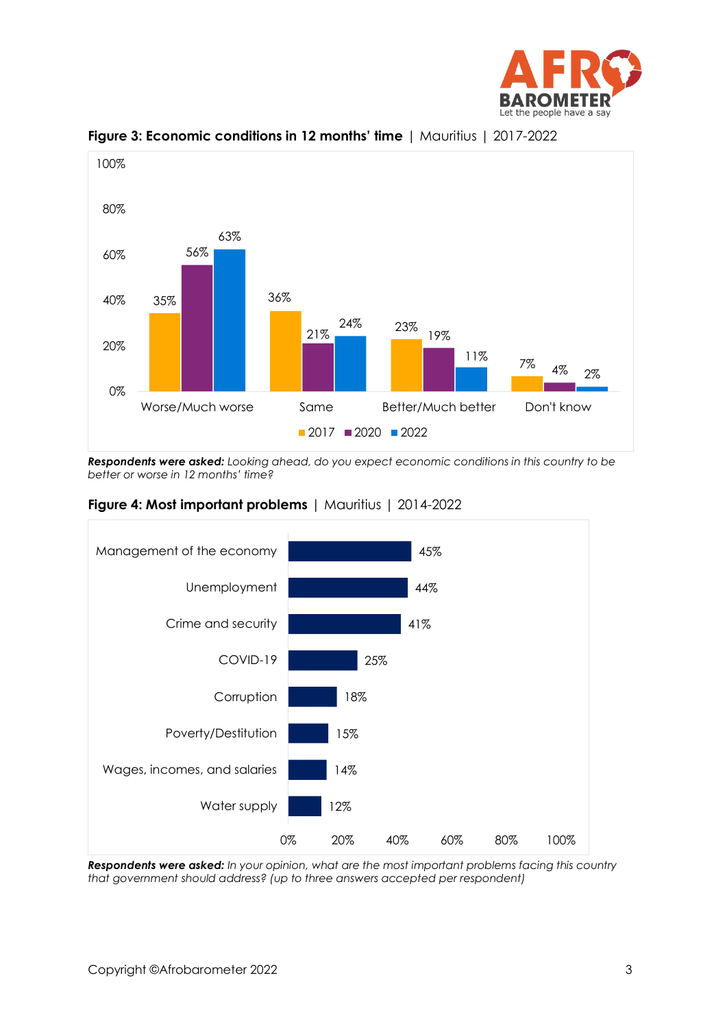



**Figure 3: Economic conditions in 12 months' time** | Mauritius | 2017-2022

*Respondents were asked: Looking ahead, do you expect economic conditions in this country to be better or worse in 12 months' time?* 





*Respondents were asked: In your opinion, what are the most important problems facing this country that government should address? (up to three answers accepted per respondent)*